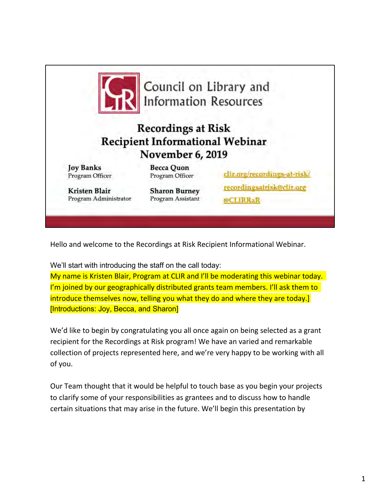

Hello and welcome to the Recordings at Risk Recipient Informational Webinar.

We'll start with introducing the staff on the call today:

My name is Kristen Blair, Program at CLIR and I'll be moderating this webinar today. I'm joined by our geographically distributed grants team members. I'll ask them to introduce themselves now, telling you what they do and where they are today.] [Introductions: Joy, Becca, and Sharon]

We'd like to begin by congratulating you all once again on being selected as a grant recipient for the Recordings at Risk program! We have an varied and remarkable collection of projects represented here, and we're very happy to be working with all of you.

Our Team thought that it would be helpful to touch base as you begin your projects to clarify some of your responsibilities as grantees and to discuss how to handle certain situations that may arise in the future. We'll begin this presentation by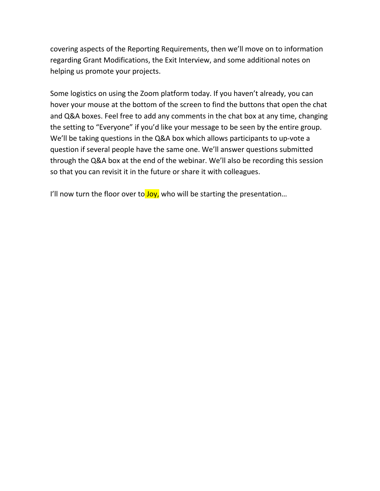covering aspects of the Reporting Requirements, then we'll move on to information regarding Grant Modifications, the Exit Interview, and some additional notes on helping us promote your projects.

Some logistics on using the Zoom platform today. If you haven't already, you can hover your mouse at the bottom of the screen to find the buttons that open the chat and Q&A boxes. Feel free to add any comments in the chat box at any time, changing the setting to "Everyone" if you'd like your message to be seen by the entire group. We'll be taking questions in the Q&A box which allows participants to up-vote a question if several people have the same one. We'll answer questions submitted through the Q&A box at the end of the webinar. We'll also be recording this session so that you can revisit it in the future or share it with colleagues.

I'll now turn the floor over to  $Joy$ , who will be starting the presentation...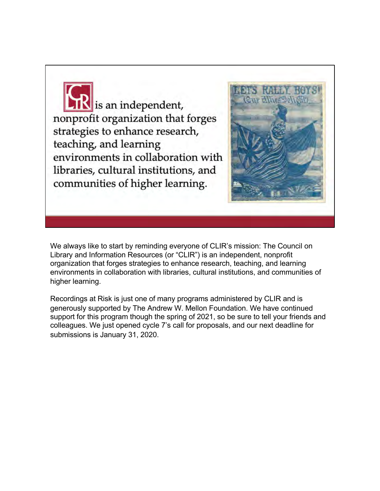**IK** is an independent, nonprofit organization that forges strategies to enhance research, teaching, and learning environments in collaboration with libraries, cultural institutions, and communities of higher learning.



We always like to start by reminding everyone of CLIR's mission: The Council on Library and Information Resources (or "CLIR") is an independent, nonprofit organization that forges strategies to enhance research, teaching, and learning environments in collaboration with libraries, cultural institutions, and communities of higher learning.

Recordings at Risk is just one of many programs administered by CLIR and is generously supported by The Andrew W. Mellon Foundation. We have continued support for this program though the spring of 2021, so be sure to tell your friends and colleagues. We just opened cycle 7's call for proposals, and our next deadline for submissions is January 31, 2020.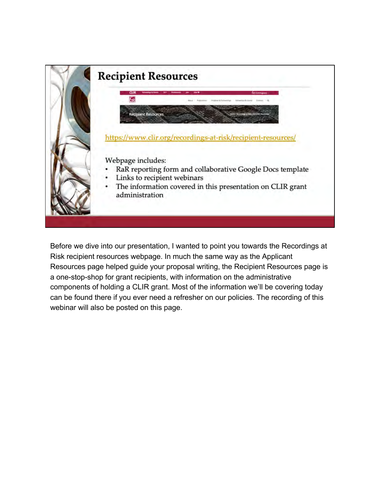

Before we dive into our presentation, I wanted to point you towards the Recordings at Risk recipient resources webpage. In much the same way as the Applicant Resources page helped guide your proposal writing, the Recipient Resources page is a one-stop-shop for grant recipients, with information on the administrative components of holding a CLIR grant. Most of the information we'll be covering today can be found there if you ever need a refresher on our policies. The recording of this webinar will also be posted on this page.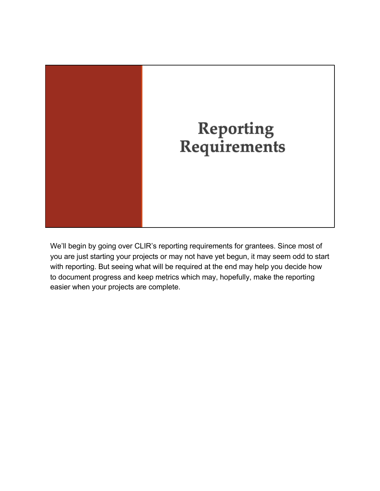

We'll begin by going over CLIR's reporting requirements for grantees. Since most of you are just starting your projects or may not have yet begun, it may seem odd to start with reporting. But seeing what will be required at the end may help you decide how to document progress and keep metrics which may, hopefully, make the reporting easier when your projects are complete.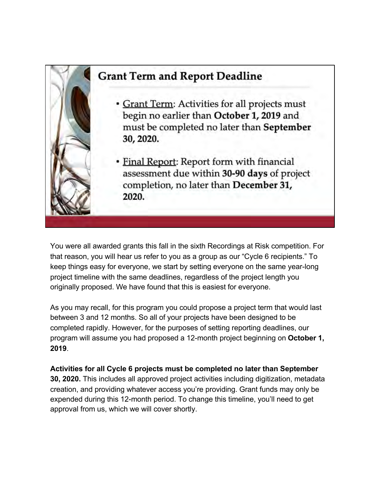

You were all awarded grants this fall in the sixth Recordings at Risk competition. For that reason, you will hear us refer to you as a group as our "Cycle 6 recipients." To keep things easy for everyone, we start by setting everyone on the same year-long project timeline with the same deadlines, regardless of the project length you originally proposed. We have found that this is easiest for everyone.

As you may recall, for this program you could propose a project term that would last between 3 and 12 months. So all of your projects have been designed to be completed rapidly. However, for the purposes of setting reporting deadlines, our program will assume you had proposed a 12-month project beginning on **October 1, 2019**.

**Activities for all Cycle 6 projects must be completed no later than September 30, 2020.** This includes all approved project activities including digitization, metadata creation, and providing whatever access you're providing. Grant funds may only be expended during this 12-month period. To change this timeline, you'll need to get approval from us, which we will cover shortly.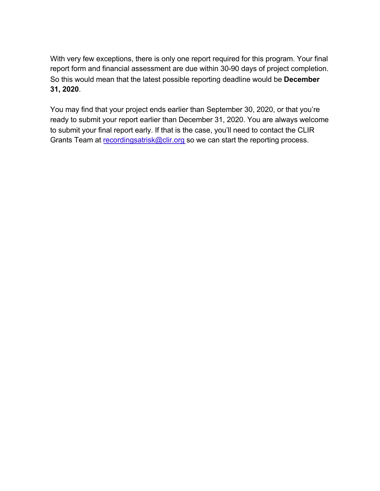With very few exceptions, there is only one report required for this program. Your final report form and financial assessment are due within 30-90 days of project completion. So this would mean that the latest possible reporting deadline would be **December 31, 2020**.

You may find that your project ends earlier than September 30, 2020, or that you're ready to submit your report earlier than December 31, 2020. You are always welcome to submit your final report early. If that is the case, you'll need to contact the CLIR Grants Team [at recordingsatrisk@clir.o](mailto:recordingsatrisk@clir.org)rg so we can start the reporting process.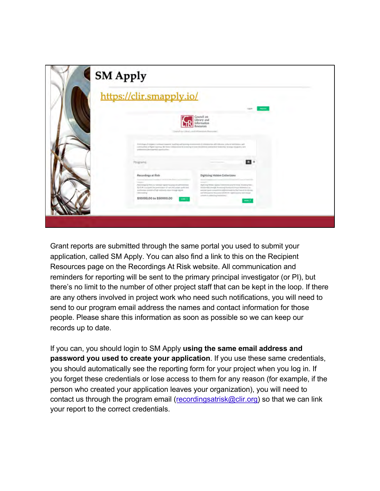| https://clir.smapply.io/                                                                                                                                                                                                                                                                                                                               |                                                                                                                                                                                                                                                                                                                                                                                                                                                                                                                                                                                                                                                                                                                                                                                                                                                             |  |
|--------------------------------------------------------------------------------------------------------------------------------------------------------------------------------------------------------------------------------------------------------------------------------------------------------------------------------------------------------|-------------------------------------------------------------------------------------------------------------------------------------------------------------------------------------------------------------------------------------------------------------------------------------------------------------------------------------------------------------------------------------------------------------------------------------------------------------------------------------------------------------------------------------------------------------------------------------------------------------------------------------------------------------------------------------------------------------------------------------------------------------------------------------------------------------------------------------------------------------|--|
|                                                                                                                                                                                                                                                                                                                                                        | Council on<br><b>Library</b> and<br>Information<br>Respurrers<br>Council on Library and Information Resources                                                                                                                                                                                                                                                                                                                                                                                                                                                                                                                                                                                                                                                                                                                                               |  |
| pottested Berlineted spottsviller.<br>Programs                                                                                                                                                                                                                                                                                                         | D.A.Sypra-longer-contact reason mailing and keeps expressed is community will have a share between and<br>compatible of Egric scaring. By firme collater with counting it town decisioned neckended businessly arrange majoring and<br>m.                                                                                                                                                                                                                                                                                                                                                                                                                                                                                                                                                                                                                   |  |
| Recordings at Risk<br>modera il tori inter decilito<br>Automatical Content<br><b>Construction</b><br>Philosophy is And in a national regresting program advocational.<br>By CLIR in a speed the presentation of rank and asiasis politiciant.<br>availables shown of high seriously state recoupling as<br><b>UDOSHIPS</b><br>\$10000.00 to \$50000.00 | Digitizing Hidden Collections<br>and a present construction of Experiment<br>$\frac{1}{2} \left( \frac{1}{2} \right) \left( \frac{1}{2} \right) \left( \frac{1}{2} \right) \left( \frac{1}{2} \right) \left( \frac{1}{2} \right) \left( \frac{1}{2} \right) \left( \frac{1}{2} \right) \left( \frac{1}{2} \right) \left( \frac{1}{2} \right) \left( \frac{1}{2} \right) \left( \frac{1}{2} \right) \left( \frac{1}{2} \right) \left( \frac{1}{2} \right) \left( \frac{1}{2} \right) \left( \frac{1}{2} \right) \left( \frac{1}{2} \right) \left( \frac$<br>(April 11) 1933an April at 5 (11) 5 February 2nd Pertilieus 2012 (Figs.)<br>Illinois and Assembly and Henri Lines<br>extreme guarty competitive address reads by the Cannell deal decays.<br>and information interesting Continue registrate prior and velocity.<br>project-attention/restrained |  |

Grant reports are submitted through the same portal you used to submit your application, called SM Apply. You can also find a link to this on the Recipient Resources page on the Recordings At Risk website. All communication and reminders for reporting will be sent to the primary principal investigator (or PI), but there's no limit to the number of other project staff that can be kept in the loop. If there are any others involved in project work who need such notifications, you will need to send to our program email address the names and contact information for those people. Please share this information as soon as possible so we can keep our records up to date.

If you can, you should login to SM Apply **using the same email address and password you used to create your application**. If you use these same credentials, you should automatically see the reporting form for your project when you log in. If you forget these credentials or lose access to them for any reason (for example, if the person who created your application leaves your organization), you will need to contact us through the program em[ail \(recordingsatrisk@clir.o](mailto:recordingsatrisk@clir.org)rg) so that we can link your report to the correct credentials.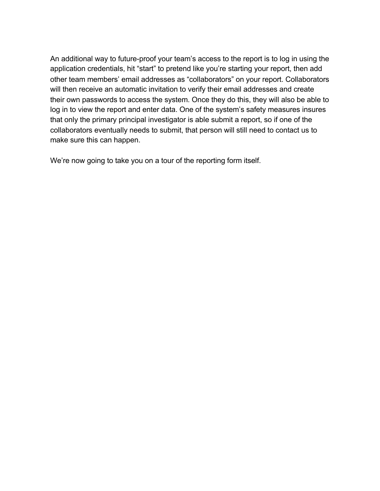An additional way to future-proof your team's access to the report is to log in using the application credentials, hit "start" to pretend like you're starting your report, then add other team members' email addresses as "collaborators" on your report. Collaborators will then receive an automatic invitation to verify their email addresses and create their own passwords to access the system. Once they do this, they will also be able to log in to view the report and enter data. One of the system's safety measures insures that only the primary principal investigator is able submit a report, so if one of the collaborators eventually needs to submit, that person will still need to contact us to make sure this can happen.

We're now going to take you on a tour of the reporting form itself.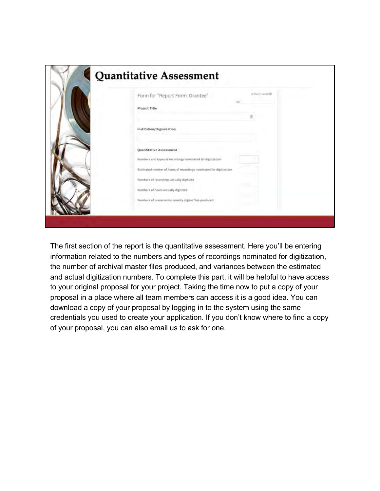| C Death Annee III<br>Form for "Report Form: Grantee"                                                                             |
|----------------------------------------------------------------------------------------------------------------------------------|
| Project Title                                                                                                                    |
| Institution/Organization                                                                                                         |
| Quantitative Assessment                                                                                                          |
| Numbers and types of recordings nominated for digitiration<br>Estimated number of hours of recordings nominated for digitization |
| Numbers of recordings actually digitized                                                                                         |
| Numbers of hours actually digitized<br>Numbers of preservation-quality digital files produced                                    |

The first section of the report is the quantitative assessment. Here you'll be entering information related to the numbers and types of recordings nominated for digitization, the number of archival master files produced, and variances between the estimated and actual digitization numbers. To complete this part, it will be helpful to have access to your original proposal for your project. Taking the time now to put a copy of your proposal in a place where all team members can access it is a good idea. You can download a copy of your proposal by logging in to the system using the same credentials you used to create your application. If you don't know where to find a copy of your proposal, you can also email us to ask for one.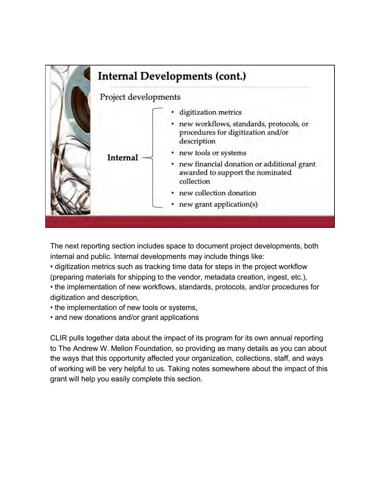

The next reporting section includes space to document project developments, both internal and public. Internal developments may include things like:

• digitization metrics such as tracking time data for steps in the project workflow (preparing materials for shipping to the vendor, metadata creation, ingest, etc.),

• the implementation of new workflows, standards, protocols, and/or procedures for digitization and description,

• the implementation of new tools or systems,

• and new donations and/or grant applications

CLIR pulls together data about the impact of its program for its own annual reporting to The Andrew W. Mellon Foundation, so providing as many details as you can about the ways that this opportunity affected your organization, collections, staff, and ways of working will be very helpful to us. Taking notes somewhere about the impact of this grant will help you easily complete this section.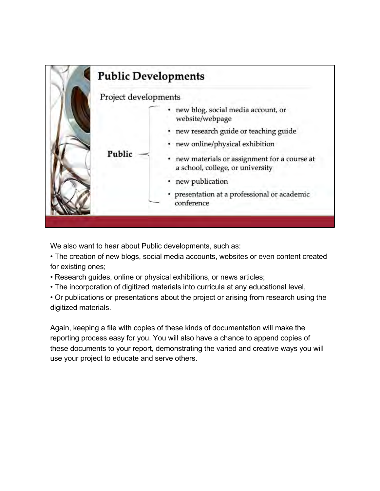

We also want to hear about Public developments, such as:

• The creation of new blogs, social media accounts, websites or even content created for existing ones;

- Research guides, online or physical exhibitions, or news articles;
- The incorporation of digitized materials into curricula at any educational level,

• Or publications or presentations about the project or arising from research using the digitized materials.

Again, keeping a file with copies of these kinds of documentation will make the reporting process easy for you. You will also have a chance to append copies of these documents to your report, demonstrating the varied and creative ways you will use your project to educate and serve others.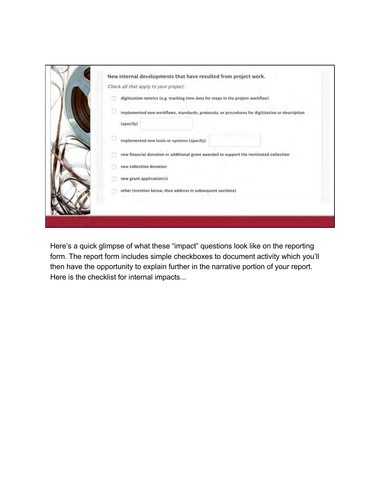| New internal developments that have resulted from project work.<br>Check all that apply to your project.         |
|------------------------------------------------------------------------------------------------------------------|
| digitization metrics (e.g. tracking time data for steps in the project workflow)                                 |
| o<br>implemented new workflows, standards, protocols, or procedures for digitization or description<br>(specify) |
| implemented new tools or systems (specify)                                                                       |
| new financial donation or additional grant awarded to support the nominated collection                           |
| new collection donation                                                                                          |
| new grant application(s)                                                                                         |
| other (mention below, then address in subsequent sections)                                                       |
|                                                                                                                  |

Here's a quick glimpse of what these "impact" questions look like on the reporting form. The report form includes simple checkboxes to document activity which you'll then have the opportunity to explain further in the narrative portion of your report. Here is the checklist for internal impacts...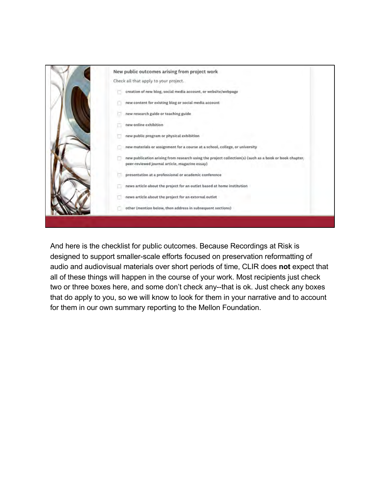

And here is the checklist for public outcomes. Because Recordings at Risk is designed to support smaller-scale efforts focused on preservation reformatting of audio and audiovisual materials over short periods of time, CLIR does **not** expect that all of these things will happen in the course of your work. Most recipients just check two or three boxes here, and some don't check any--that is ok. Just check any boxes that do apply to you, so we will know to look for them in your narrative and to account for them in our own summary reporting to the Mellon Foundation.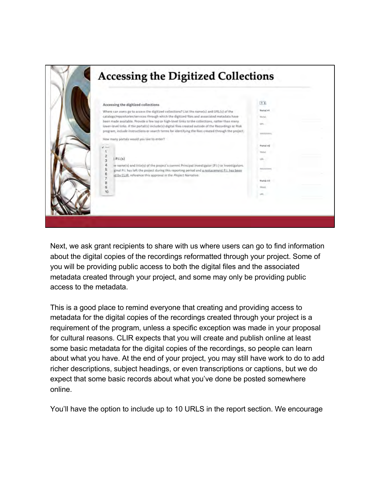

Next, we ask grant recipients to share with us where users can go to find information about the digital copies of the recordings reformatted through your project. Some of you will be providing public access to both the digital files and the associated metadata created through your project, and some may only be providing public access to the metadata.

This is a good place to remind everyone that creating and providing access to metadata for the digital copies of the recordings created through your project is a requirement of the program, unless a specific exception was made in your proposal for cultural reasons. CLIR expects that you will create and publish online at least some basic metadata for the digital copies of the recordings, so people can learn about what you have. At the end of your project, you may still have work to do to add richer descriptions, subject headings, or even transcriptions or captions, but we do expect that some basic records about what you've done be posted somewhere online.

You'll have the option to include up to 10 URLS in the report section. We encourage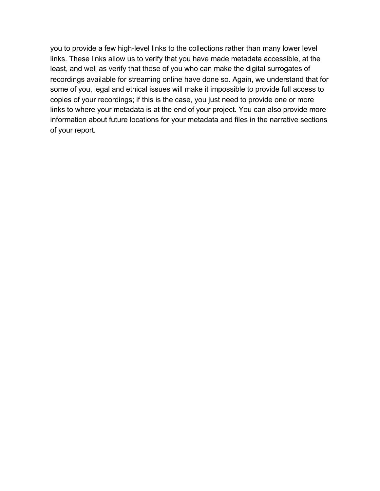you to provide a few high-level links to the collections rather than many lower level links. These links allow us to verify that you have made metadata accessible, at the least, and well as verify that those of you who can make the digital surrogates of recordings available for streaming online have done so. Again, we understand that for some of you, legal and ethical issues will make it impossible to provide full access to copies of your recordings; if this is the case, you just need to provide one or more links to where your metadata is at the end of your project. You can also provide more information about future locations for your metadata and files in the narrative sections of your report.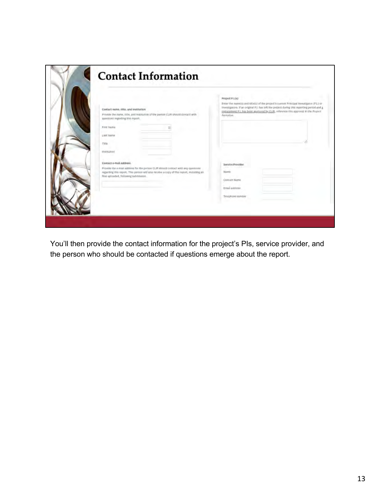| Contact name, title, and institution<br>Provide the name, title, and institution of the person CLIR should contact with<br>questions regarding this report.                                                                                                      | Project P.I.(s)<br>Enter the name(s) and title(s) of the project's current Principal investigator (P.) or<br>Investigators. If an original P.I. has left the project during this reporting period and a<br>replacement P.I. has been approved by CLIR, reference chis approval in the Project<br>Narrative. |
|------------------------------------------------------------------------------------------------------------------------------------------------------------------------------------------------------------------------------------------------------------------|-------------------------------------------------------------------------------------------------------------------------------------------------------------------------------------------------------------------------------------------------------------------------------------------------------------|
| First Name<br>Last Name<br>Title                                                                                                                                                                                                                                 |                                                                                                                                                                                                                                                                                                             |
| Institution<br>Contact e-mail address<br>Provide the e-mail address for the person CLIR should contact with any questional<br>regarding this report. This person will also receive a copy of this report, including all<br>files uploaded, following suhmission. | Service Provider<br>Name<br>Contact Name                                                                                                                                                                                                                                                                    |
|                                                                                                                                                                                                                                                                  | gmail address:<br>Telephone number                                                                                                                                                                                                                                                                          |

You'll then provide the contact information for the project's PIs, service provider, and the person who should be contacted if questions emerge about the report.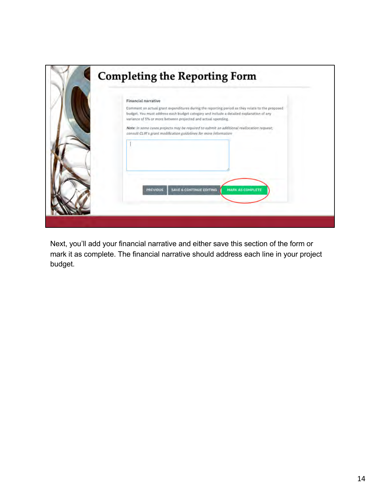

Next, you'll add your financial narrative and either save this section of the form or mark it as complete. The financial narrative should address each line in your project budget.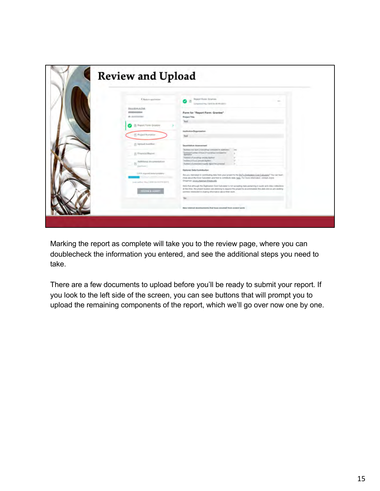| Cheko application                                       | <b>Muset Form Grantes</b><br>58<br>12.5<br>Limplaned Pres. (1976) Sevill PA (EST)                                                                                                                                                                                                                         |
|---------------------------------------------------------|-----------------------------------------------------------------------------------------------------------------------------------------------------------------------------------------------------------------------------------------------------------------------------------------------------------|
| Necessitivity at Audi                                   |                                                                                                                                                                                                                                                                                                           |
| 0000000084                                              | Form for "Report Form: Grantee"                                                                                                                                                                                                                                                                           |
| (B: (km) court                                          | <b>Project Title</b>                                                                                                                                                                                                                                                                                      |
| B: Report Form Grantee                                  | Test                                                                                                                                                                                                                                                                                                      |
|                                                         |                                                                                                                                                                                                                                                                                                           |
| Fi Praject Numitive                                     | Insthition/Departments.                                                                                                                                                                                                                                                                                   |
|                                                         | Test                                                                                                                                                                                                                                                                                                      |
| Fi Upload manifest                                      | <b>Quantitative Azpenanted</b>                                                                                                                                                                                                                                                                            |
| (i) Financial Region                                    | Nummers'and tipors of investings reminismed by sharking<br>Drivers from the of front (I'm ordinary contained by<br><b>Ballisadium</b>                                                                                                                                                                     |
|                                                         | Nastery of anothrigit Amady (Bulliout                                                                                                                                                                                                                                                                     |
| Ashiritana). (Forstromma 61) con-<br>$\lbrack 7\rbrack$ | Fortier Lof Asses Art selly Burles 1<br>Automotivements mush against present                                                                                                                                                                                                                              |
| pass Former                                             |                                                                                                                                                                                                                                                                                                           |
| Linfold responsed basical committees                    | Oydansi Dela Contribution                                                                                                                                                                                                                                                                                 |
|                                                         | Are you interested to continuing data from your project to the DLF's Doltzstate Cost Camalage 1 You can know.<br>ever also I By Cost Calculate and how to contribute data tiges. For more information, contact Jugos.                                                                                     |
| look kelled (Rey) 2008 too LLPH GUITE                   | Ongman Ancountercommittee and                                                                                                                                                                                                                                                                             |
| <b>REVIEW &amp; SUMMY</b>                               | fillile that attroved the Digitalation Cost Calculator's Aid accepting itals perseiving to audio and visito collections<br>all this first. the project leaders are planning to majored the project to accommodate this data and as are assking<br>parties conceled in stars-g informable about this work. |
|                                                         |                                                                                                                                                                                                                                                                                                           |
|                                                         |                                                                                                                                                                                                                                                                                                           |
|                                                         | New Internal dependences that have resulted from armed work.                                                                                                                                                                                                                                              |

Marking the report as complete will take you to the review page, where you can doublecheck the information you entered, and see the additional steps you need to take.

There are a few documents to upload before you'll be ready to submit your report. If you look to the left side of the screen, you can see buttons that will prompt you to upload the remaining components of the report, which we'll go over now one by one.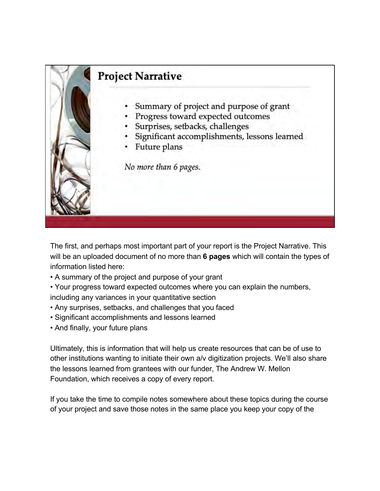

The first, and perhaps most important part of your report is the Project Narrative. This will be an uploaded document of no more than **6 pages** which will contain the types of information listed here:

- A summary of the project and purpose of your grant
- Your progress toward expected outcomes where you can explain the numbers, including any variances in your quantitative section
- Any surprises, setbacks, and challenges that you faced
- Significant accomplishments and lessons learned
- And finally, your future plans

Ultimately, this is information that will help us create resources that can be of use to other institutions wanting to initiate their own a/v digitization projects. We'll also share the lessons learned from grantees with our funder, The Andrew W. Mellon Foundation, which receives a copy of every report.

If you take the time to compile notes somewhere about these topics during the course of your project and save those notes in the same place you keep your copy of the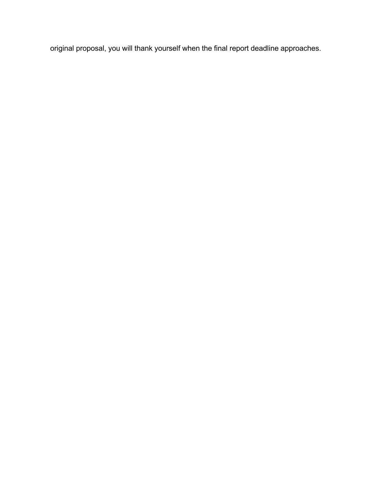original proposal, you will thank yourself when the final report deadline approaches.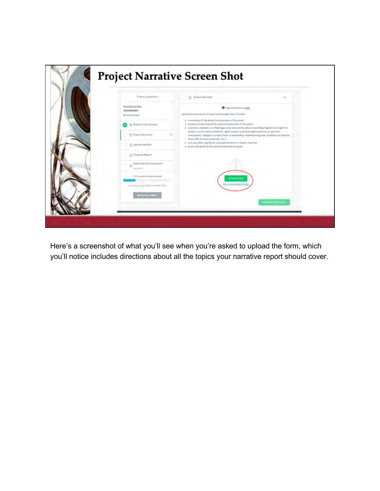|  | C lines to application.                              | (ii) Project Namatiye                                                                                                                                                                                                                                                                                                                                                                                                                                                                                                                             | <b>HALL</b>           |
|--|------------------------------------------------------|---------------------------------------------------------------------------------------------------------------------------------------------------------------------------------------------------------------------------------------------------------------------------------------------------------------------------------------------------------------------------------------------------------------------------------------------------------------------------------------------------------------------------------------------------|-----------------------|
|  | Engelsen at Rick<br>0000000084<br>ID: 0000000084     | <b>O</b> Task instructions Hide<br>Upload a narrative of no more than 6 pages that includes:<br>· a summary of the project and purpose of the grant.<br>. progress made toward the expected outcomes of the grant:<br>. surprises, subsides, or challenges (now discoveries about recordings digitized through the<br>project, conservation problems, rights issues, quantities digitized more or less than<br>anticipated, changes in project feam or loadership, implementing new workflows or systems.<br>more difficult than expected, sec.); |                       |
|  | <b>B. Report Form: Grunder</b>                       |                                                                                                                                                                                                                                                                                                                                                                                                                                                                                                                                                   |                       |
|  | (5) Project Narrative                                |                                                                                                                                                                                                                                                                                                                                                                                                                                                                                                                                                   |                       |
|  | (ii) Upload manifest:                                | · and any other significant accomplishments or lessonx bramed<br>+ plant and goals for the period following the grant.                                                                                                                                                                                                                                                                                                                                                                                                                            |                       |
|  | (ii) Financial Report                                |                                                                                                                                                                                                                                                                                                                                                                                                                                                                                                                                                   |                       |
|  | Additional documentation.<br>刊<br><b>Institucial</b> |                                                                                                                                                                                                                                                                                                                                                                                                                                                                                                                                                   |                       |
|  | 115 A required Takis domains                         | <b>ATTACHERE</b>                                                                                                                                                                                                                                                                                                                                                                                                                                                                                                                                  |                       |
|  | Last editors Hay Tayta De do PH (EST)                | <b>Rom Abounted format</b>                                                                                                                                                                                                                                                                                                                                                                                                                                                                                                                        |                       |
|  | <b>TIMOUL A WAYNE</b>                                |                                                                                                                                                                                                                                                                                                                                                                                                                                                                                                                                                   | <b>HAVE ALCOHNERY</b> |

Here's a screenshot of what you'll see when you're asked to upload the form, which you'll notice includes directions about all the topics your narrative report should cover.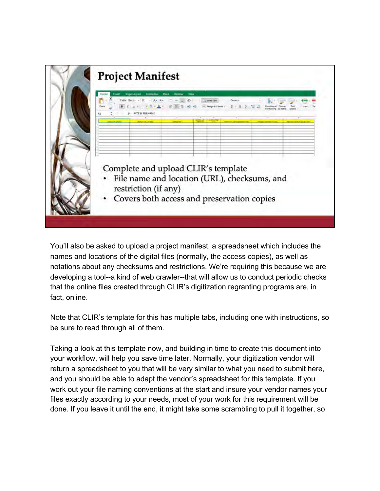

You'll also be asked to upload a project manifest, a spreadsheet which includes the names and locations of the digital files (normally, the access copies), as well as notations about any checksums and restrictions. We're requiring this because we are developing a tool--a kind of web crawler--that will allow us to conduct periodic checks that the online files created through CLIR's digitization regranting programs are, in fact, online.

Note that CLIR's template for this has multiple tabs, including one with instructions, so be sure to read through all of them.

Taking a look at this template now, and building in time to create this document into your workflow, will help you save time later. Normally, your digitization vendor will return a spreadsheet to you that will be very similar to what you need to submit here, and you should be able to adapt the vendor's spreadsheet for this template. If you work out your file naming conventions at the start and insure your vendor names your files exactly according to your needs, most of your work for this requirement will be done. If you leave it until the end, it might take some scrambling to pull it together, so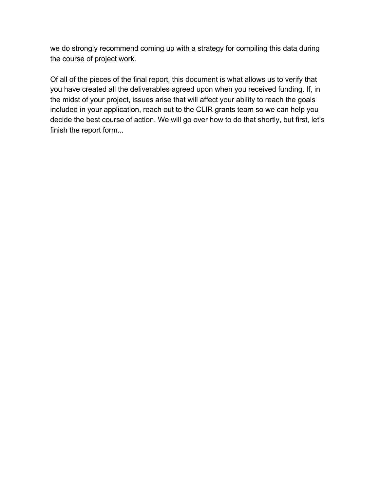we do strongly recommend coming up with a strategy for compiling this data during the course of project work.

Of all of the pieces of the final report, this document is what allows us to verify that you have created all the deliverables agreed upon when you received funding. If, in the midst of your project, issues arise that will affect your ability to reach the goals included in your application, reach out to the CLIR grants team so we can help you decide the best course of action. We will go over how to do that shortly, but first, let's finish the report form...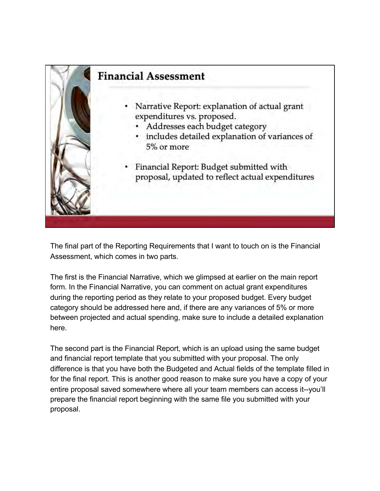

The final part of the Reporting Requirements that I want to touch on is the Financial Assessment, which comes in two parts.

The first is the Financial Narrative, which we glimpsed at earlier on the main report form. In the Financial Narrative, you can comment on actual grant expenditures during the reporting period as they relate to your proposed budget. Every budget category should be addressed here and, if there are any variances of 5% or more between projected and actual spending, make sure to include a detailed explanation here.

The second part is the Financial Report, which is an upload using the same budget and financial report template that you submitted with your proposal. The only difference is that you have both the Budgeted and Actual fields of the template filled in for the final report. This is another good reason to make sure you have a copy of your entire proposal saved somewhere where all your team members can access it--you'll prepare the financial report beginning with the same file you submitted with your proposal.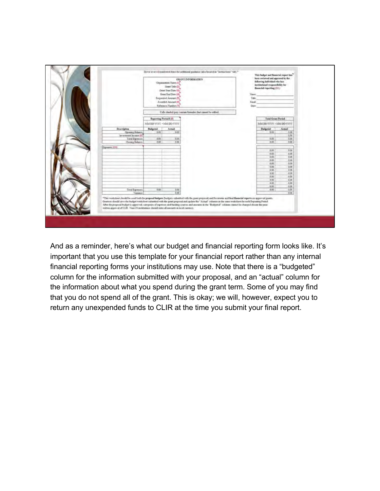

And as a reminder, here's what our budget and financial reporting form looks like. It's important that you use this template for your financial report rather than any internal financial reporting forms your institutions may use. Note that there is a "budgeted" column for the information submitted with your proposal, and an "actual" column for the information about what you spend during the grant term. Some of you may find that you do not spend all of the grant. This is okay; we will, however, expect you to return any unexpended funds to CLIR at the time you submit your final report.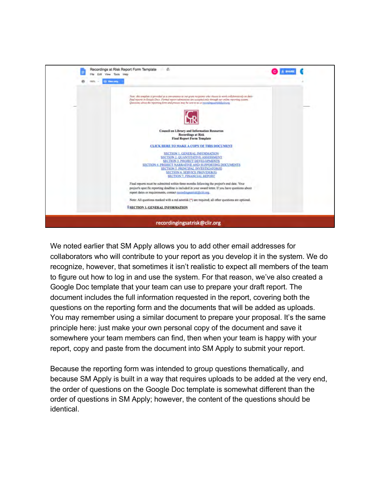

We noted earlier that SM Apply allows you to add other email addresses for collaborators who will contribute to your report as you develop it in the system. We do recognize, however, that sometimes it isn't realistic to expect all members of the team to figure out how to log in and use the system. For that reason, we've also created a Google Doc template that your team can use to prepare your draft report. The document includes the full information requested in the report, covering both the questions on the reporting form and the documents that will be added as uploads. You may remember using a similar document to prepare your proposal. It's the same principle here: just make your own personal copy of the document and save it somewhere your team members can find, then when your team is happy with your report, copy and paste from the document into SM Apply to submit your report.

Because the reporting form was intended to group questions thematically, and because SM Apply is built in a way that requires uploads to be added at the very end, the order of questions on the Google Doc template is somewhat different than the order of questions in SM Apply; however, the content of the questions should be identical.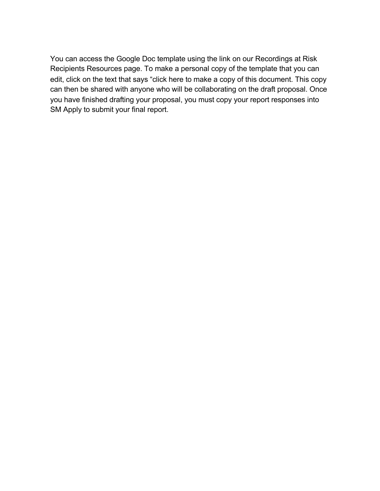You can access the Google Doc template using the link on our Recordings at Risk Recipients Resources page. To make a personal copy of the template that you can edit, click on the text that says "click here to make a copy of this document. This copy can then be shared with anyone who will be collaborating on the draft proposal. Once you have finished drafting your proposal, you must copy your report responses into SM Apply to submit your final report.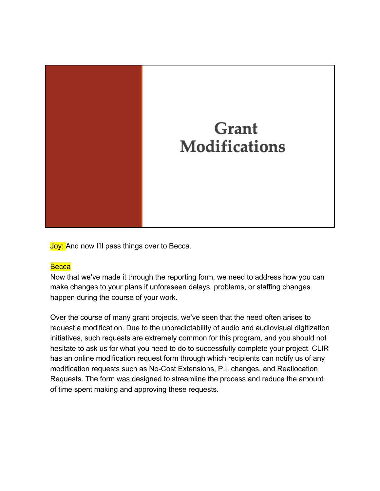

**Joy:** And now I'll pass things over to Becca.

# **Becca**

Now that we've made it through the reporting form, we need to address how you can make changes to your plans if unforeseen delays, problems, or staffing changes happen during the course of your work.

Over the course of many grant projects, we've seen that the need often arises to request a modification. Due to the unpredictability of audio and audiovisual digitization initiatives, such requests are extremely common for this program, and you should not hesitate to ask us for what you need to do to successfully complete your project. CLIR has an online modification request form through which recipients can notify us of any modification requests such as No-Cost Extensions, P.I. changes, and Reallocation Requests. The form was designed to streamline the process and reduce the amount of time spent making and approving these requests.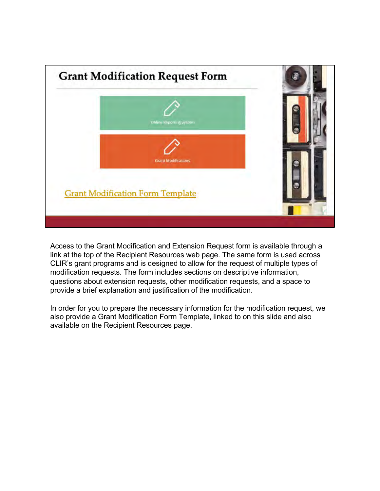

Access to the Grant Modification and Extension Request form is available through a link at the top of the Recipient Resources web page. The same form is used across CLIR's grant programs and is designed to allow for the request of multiple types of modification requests. The form includes sections on descriptive information, questions about extension requests, other modification requests, and a space to provide a brief explanation and justification of the modification.

In order for you to prepare the necessary information for the modification request, we also provide a Grant Modification Form Template, linked to on this slide and also available on the Recipient Resources page.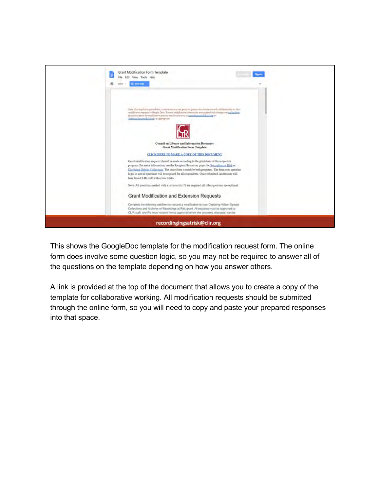

This shows the GoogleDoc template for the modification request form. The online form does involve some question logic, so you may not be required to answer all of the questions on the template depending on how you answer others.

A link is provided at the top of the document that allows you to create a copy of the template for collaborative working. All modification requests should be submitted through the online form, so you will need to copy and paste your prepared responses into that space.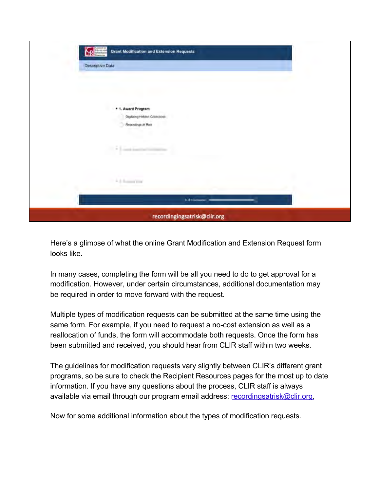

Here's a glimpse of what the online Grant Modification and Extension Request form looks like.

In many cases, completing the form will be all you need to do to get approval for a modification. However, under certain circumstances, additional documentation may be required in order to move forward with the request.

Multiple types of modification requests can be submitted at the same time using the same form. For example, if you need to request a no-cost extension as well as a reallocation of funds, the form will accommodate both requests. Once the form has been submitted and received, you should hear from CLIR staff within two weeks.

The guidelines for modification requests vary slightly between CLIR's different grant programs, so be sure to check the Recipient Resources pages for the most up to date information. If you have any questions about the process, CLIR staff is always available via email through our program email addre[ss: recordingsatrisk@clir.o](mailto:recordingsatrisk@clir.org)rg.

Now for some additional information about the types of modification requests.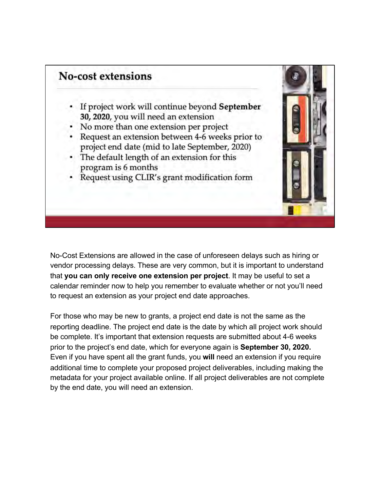

No-Cost Extensions are allowed in the case of unforeseen delays such as hiring or vendor processing delays. These are very common, but it is important to understand that **you can only receive one extension per project**. It may be useful to set a calendar reminder now to help you remember to evaluate whether or not you'll need to request an extension as your project end date approaches.

For those who may be new to grants, a project end date is not the same as the reporting deadline. The project end date is the date by which all project work should be complete. It's important that extension requests are submitted about 4-6 weeks prior to the project's end date, which for everyone again is **September 30, 2020.**  Even if you have spent all the grant funds, you **will** need an extension if you require additional time to complete your proposed project deliverables, including making the metadata for your project available online. If all project deliverables are not complete by the end date, you will need an extension.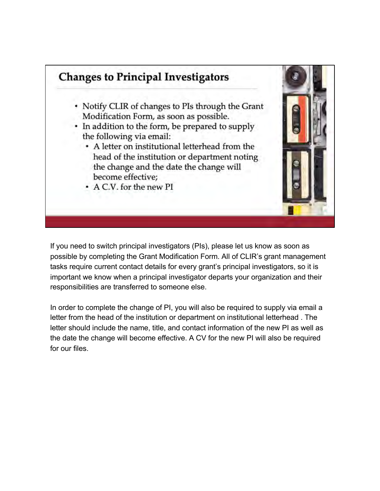

If you need to switch principal investigators (PIs), please let us know as soon as possible by completing the Grant Modification Form. All of CLIR's grant management tasks require current contact details for every grant's principal investigators, so it is important we know when a principal investigator departs your organization and their responsibilities are transferred to someone else.

In order to complete the change of PI, you will also be required to supply via email a letter from the head of the institution or department on institutional letterhead . The letter should include the name, title, and contact information of the new PI as well as the date the change will become effective. A CV for the new PI will also be required for our files.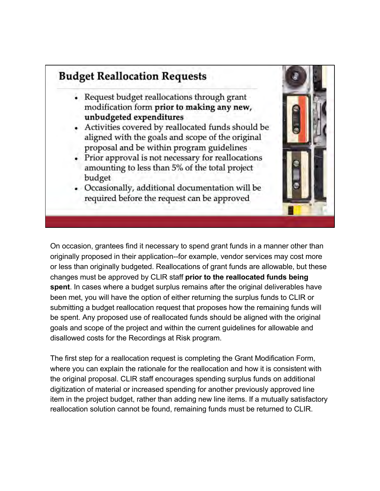# **Budget Reallocation Requests**

- Request budget reallocations through grant modification form prior to making any new, unbudgeted expenditures
- Activities covered by reallocated funds should be aligned with the goals and scope of the original proposal and be within program guidelines
- Prior approval is not necessary for reallocations amounting to less than 5% of the total project budget
- Occasionally, additional documentation will be required before the request can be approved

On occasion, grantees find it necessary to spend grant funds in a manner other than originally proposed in their application--for example, vendor services may cost more or less than originally budgeted. Reallocations of grant funds are allowable, but these changes must be approved by CLIR staff **prior to the reallocated funds being spent**. In cases where a budget surplus remains after the original deliverables have been met, you will have the option of either returning the surplus funds to CLIR or submitting a budget reallocation request that proposes how the remaining funds will be spent. Any proposed use of reallocated funds should be aligned with the original goals and scope of the project and within the current guidelines for allowable and disallowed costs for the Recordings at Risk program.

The first step for a reallocation request is completing the Grant Modification Form, where you can explain the rationale for the reallocation and how it is consistent with the original proposal. CLIR staff encourages spending surplus funds on additional digitization of material or increased spending for another previously approved line item in the project budget, rather than adding new line items. If a mutually satisfactory reallocation solution cannot be found, remaining funds must be returned to CLIR.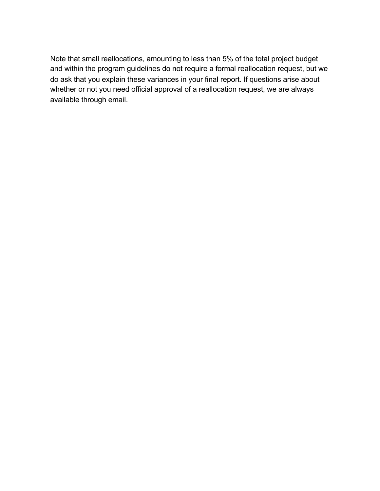Note that small reallocations, amounting to less than 5% of the total project budget and within the program guidelines do not require a formal reallocation request, but we do ask that you explain these variances in your final report. If questions arise about whether or not you need official approval of a reallocation request, we are always available through email.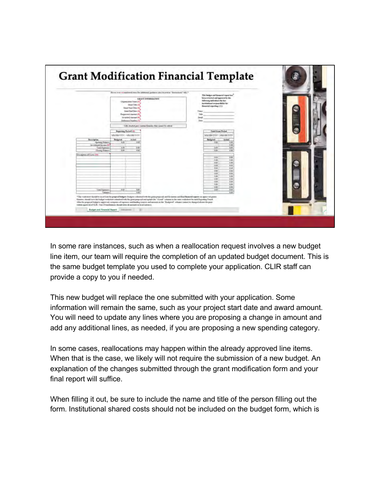|                                                                                                     | Hirver aver 1-4 mail bend nows for additional quality to (slag listened at "lineraritates" MH/*                                                                     | This budget and flavorial report has                                                                                                                                                     |
|-----------------------------------------------------------------------------------------------------|---------------------------------------------------------------------------------------------------------------------------------------------------------------------|------------------------------------------------------------------------------------------------------------------------------------------------------------------------------------------|
|                                                                                                     | GRANT INFORMATION<br><b>Origination in News (1)</b><br><b>Einest Title (2)</b><br>Grand Road Date (R)<br><b>Count East Date (A)</b><br><b>Zaquierni LAnount (Fc</b> | Sens returned and spyroved in the<br>following individual who has<br>institutional responsibility for<br>financial reporting (111)<br>Trime:<br>Title:<br>and the company of the company |
|                                                                                                     | Antarbed Amount (f):<br>Esference Number (7)                                                                                                                        | Established and the contract of the contract of the contract of the contract of<br>Date:                                                                                                 |
|                                                                                                     | Cells shaded gary contain firmulas that cannot be edited.<br>Reporting Pretof Life                                                                                  | Tangl Cynan Prylad                                                                                                                                                                       |
| Description.<br>Opening Subscio<br>less extenses las cosa (W)<br>Tatal Esperant<br>Closing Sidence: | MMDD/YFF - MMDD/YFF<br>Budgeted<br>Actual.<br>to at-<br>pay<br>0.90<br><b>DM</b><br>石版<br>Eist                                                                      | MALISSAYVYY - MM 103 YVYY<br><b>Badweed</b><br><b>Artual</b><br>0 sir<br>1.6<br>1.01<br>6m<br><b>Edd</b><br><b>Edit</b><br>£38                                                           |
| Description of Easts (IIII)                                                                         |                                                                                                                                                                     | 卡尔<br>0.02<br>EAS<br>EOI<br>1.01<br><b>BM</b><br>省关<br>0.03<br>Est.<br>E/H<br>EM<br>6/89                                                                                                 |
|                                                                                                     |                                                                                                                                                                     | 0.03<br>8:00<br>1.01<br>5 dit<br>E/dt<br><b>UM</b><br>0.02<br>EW<br>E.01<br>5.91<br>it-bit<br>0.00                                                                                       |
| <b>Tetal Expanses</b><br>Vietentre                                                                  | 5.07<br>支配<br>0.48                                                                                                                                                  | 101<br>100<br>6.08                                                                                                                                                                       |

In some rare instances, such as when a reallocation request involves a new budget line item, our team will require the completion of an updated budget document. This is the same budget template you used to complete your application. CLIR staff can provide a copy to you if needed.

This new budget will replace the one submitted with your application. Some information will remain the same, such as your project start date and award amount. You will need to update any lines where you are proposing a change in amount and add any additional lines, as needed, if you are proposing a new spending category.

In some cases, reallocations may happen within the already approved line items. When that is the case, we likely will not require the submission of a new budget. An explanation of the changes submitted through the grant modification form and your final report will suffice.

When filling it out, be sure to include the name and title of the person filling out the form. Institutional shared costs should not be included on the budget form, which is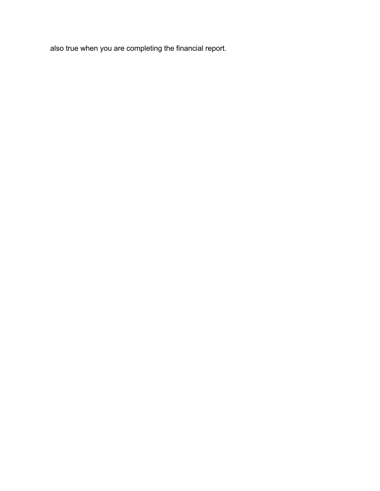also true when you are completing the financial report.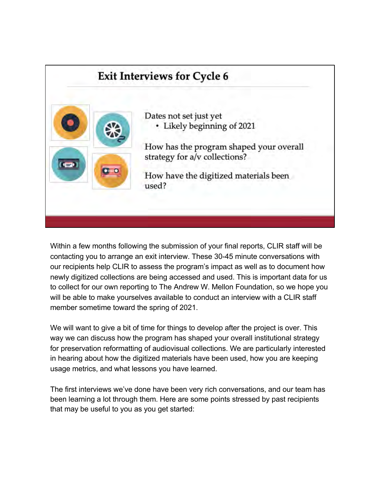# **Exit Interviews for Cycle 6** Dates not set just yet • Likely beginning of 2021 How has the program shaped your overall strategy for a/v collections? How have the digitized materials been used?

Within a few months following the submission of your final reports, CLIR staff will be contacting you to arrange an exit interview. These 30-45 minute conversations with our recipients help CLIR to assess the program's impact as well as to document how newly digitized collections are being accessed and used. This is important data for us to collect for our own reporting to The Andrew W. Mellon Foundation, so we hope you will be able to make yourselves available to conduct an interview with a CLIR staff member sometime toward the spring of 2021.

We will want to give a bit of time for things to develop after the project is over. This way we can discuss how the program has shaped your overall institutional strategy for preservation reformatting of audiovisual collections. We are particularly interested in hearing about how the digitized materials have been used, how you are keeping usage metrics, and what lessons you have learned.

The first interviews we've done have been very rich conversations, and our team has been learning a lot through them. Here are some points stressed by past recipients that may be useful to you as you get started: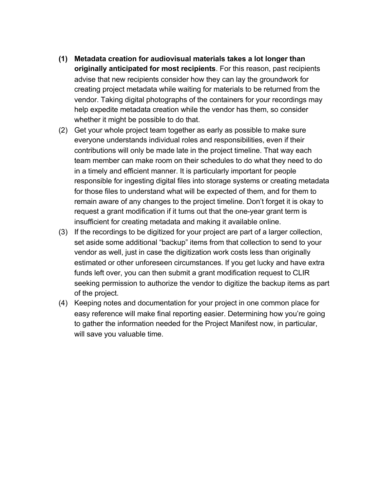- **(1) Metadata creation for audiovisual materials takes a lot longer than originally anticipated for most recipients**. For this reason, past recipients advise that new recipients consider how they can lay the groundwork for creating project metadata while waiting for materials to be returned from the vendor. Taking digital photographs of the containers for your recordings may help expedite metadata creation while the vendor has them, so consider whether it might be possible to do that.
- (2) Get your whole project team together as early as possible to make sure everyone understands individual roles and responsibilities, even if their contributions will only be made late in the project timeline. That way each team member can make room on their schedules to do what they need to do in a timely and efficient manner. It is particularly important for people responsible for ingesting digital files into storage systems or creating metadata for those files to understand what will be expected of them, and for them to remain aware of any changes to the project timeline. Don't forget it is okay to request a grant modification if it turns out that the one-year grant term is insufficient for creating metadata and making it available online.
- (3) If the recordings to be digitized for your project are part of a larger collection, set aside some additional "backup" items from that collection to send to your vendor as well, just in case the digitization work costs less than originally estimated or other unforeseen circumstances. If you get lucky and have extra funds left over, you can then submit a grant modification request to CLIR seeking permission to authorize the vendor to digitize the backup items as part of the project.
- (4) Keeping notes and documentation for your project in one common place for easy reference will make final reporting easier. Determining how you're going to gather the information needed for the Project Manifest now, in particular, will save you valuable time.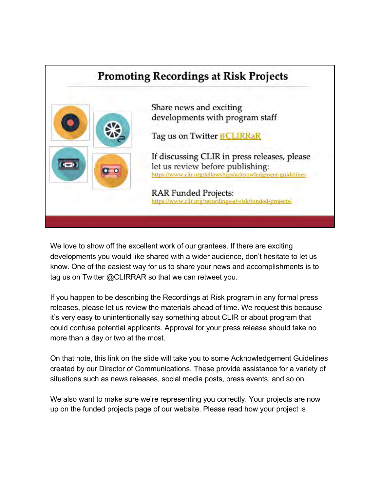

We love to show off the excellent work of our grantees. If there are exciting developments you would like shared with a wider audience, don't hesitate to let us know. One of the easiest way for us to share your news and accomplishments is to tag us on Twitter @CLIRRAR so that we can retweet you.

If you happen to be describing the Recordings at Risk program in any formal press releases, please let us review the materials ahead of time. We request this because it's very easy to unintentionally say something about CLIR or about program that could confuse potential applicants. Approval for your press release should take no more than a day or two at the most.

On that note, this link on the slide will take you to some Acknowledgement Guidelines created by our Director of Communications. These provide assistance for a variety of situations such as news releases, social media posts, press events, and so on.

We also want to make sure we're representing you correctly. Your projects are now up on the funded projects page of our website. Please read how your project is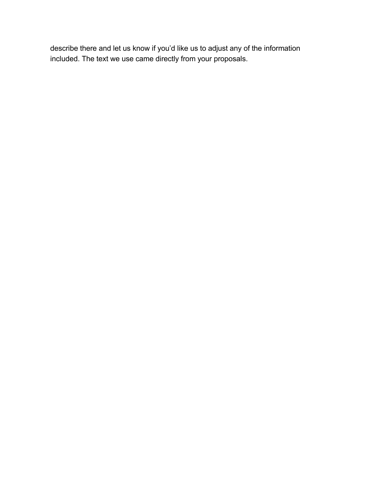describe there and let us know if you'd like us to adjust any of the information included. The text we use came directly from your proposals.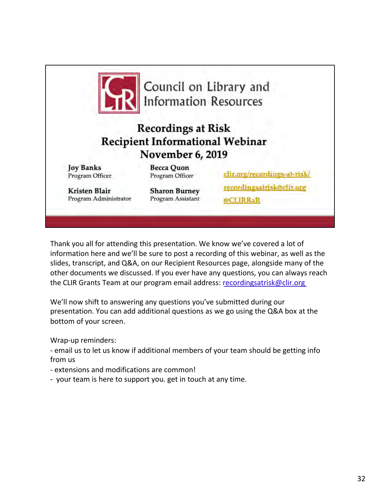

Thank you all for attending this presentation. We know we've covered a lot of information here and we'll be sure to post a recording of this webinar, as well as the slides, transcript, and Q&A, on our Recipient Resources page, alongside many of the other documents we discussed. If you ever have any questions, you can always reach the CLIR Grants Team at our program email addre[ss: recordingsatrisk@clir.o](mailto:recordingsatrisk@clir.org)rg

We'll now shift to answering any questions you've submitted during our presentation. You can add additional questions as we go using the Q&A box at the bottom of your screen.

Wrap-up reminders:

- email us to let us know if additional members of your team should be getting info from us

- extensions and modifications are common!
- your team is here to support you. get in touch at any time.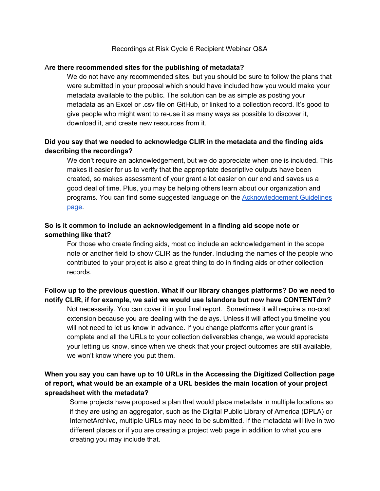#### Recordings at Risk Cycle 6 Recipient Webinar Q&A

#### A**re there recommended sites for the publishing of metadata?**

We do not have any recommended sites, but you should be sure to follow the plans that were submitted in your proposal which should have included how you would make your metadata available to the public. The solution can be as simple as posting your metadata as an Excel or .csv file on GitHub, or linked to a collection record. It's good to give people who might want to re-use it as many ways as possible to discover it, download it, and create new resources from it.

# **Did you say that we needed to acknowledge CLIR in the metadata and the finding aids describing the recordings?**

We don't require an acknowledgement, but we do appreciate when one is included. This makes it easier for us to verify that the appropriate descriptive outputs have been created, so makes assessment of your grant a lot easier on our end and saves us a good deal of time. Plus, you may be helping others learn about our organization and programs. You can find some suggested language on the [Acknowledgement Guidelines](https://www.clir.org/fellowships/acknowledgment-guidelines/) [page.](https://www.clir.org/fellowships/acknowledgment-guidelines/)

### **So is it common to include an acknowledgement in a finding aid scope note or something like that?**

For those who create finding aids, most do include an acknowledgement in the scope note or another field to show CLIR as the funder. Including the names of the people who contributed to your project is also a great thing to do in finding aids or other collection records.

# **Follow up to the previous question. What if our library changes platforms? Do we need to notify CLIR, if for example, we said we would use Islandora but now have CONTENTdm?**

Not necessarily. You can cover it in you final report. Sometimes it will require a no-cost extension because you are dealing with the delays. Unless it will affect you timeline you will not need to let us know in advance. If you change platforms after your grant is complete and all the URLs to your collection deliverables change, we would appreciate your letting us know, since when we check that your project outcomes are still available, we won't know where you put them.

# **When you say you can have up to 10 URLs in the Accessing the Digitized Collection page of report, what would be an example of a URL besides the main location of your project spreadsheet with the metadata?**

Some projects have proposed a plan that would place metadata in multiple locations so if they are using an aggregator, such as the Digital Public Library of America (DPLA) or InternetArchive, multiple URLs may need to be submitted. If the metadata will live in two different places or if you are creating a project web page in addition to what you are creating you may include that.